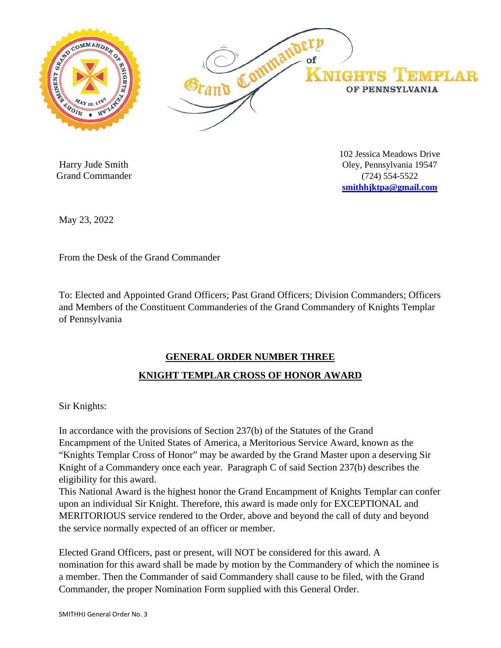

 Harry Jude Smith Grand Commander 102 Jessica Meadows Drive Oley, Pennsylvania 19547 (724) 554-5522 **smithhjktpa@gmail.com**

May 23, 2022

From the Desk of the Grand Commander

To: Elected and Appointed Grand Officers; Past Grand Officers; Division Commanders; Officers and Members of the Constituent Commanderies of the Grand Commandery of Knights Templar of Pennsylvania

## **GENERAL ORDER NUMBER THREE**

## **KNIGHT TEMPLAR CROSS OF HONOR AWARD**

Sir Knights:

In accordance with the provisions of Section 237(b) of the Statutes of the Grand Encampment of the United States of America, a Meritorious Service Award, known as the "Knights Templar Cross of Honor" may be awarded by the Grand Master upon a deserving Sir Knight of a Commandery once each year. Paragraph C of said Section 237(b) describes the eligibility for this award.

This National Award is the highest honor the Grand Encampment of Knights Templar can confer upon an individual Sir Knight. Therefore, this award is made only for EXCEPTIONAL and MERITORIOUS service rendered to the Order, above and beyond the call of duty and beyond the service normally expected of an officer or member.

Elected Grand Officers, past or present, will NOT be considered for this award. A nomination for this award shall be made by motion by the Commandery of which the nominee is a member. Then the Commander of said Commandery shall cause to be filed, with the Grand Commander, the proper Nomination Form supplied with this General Order.